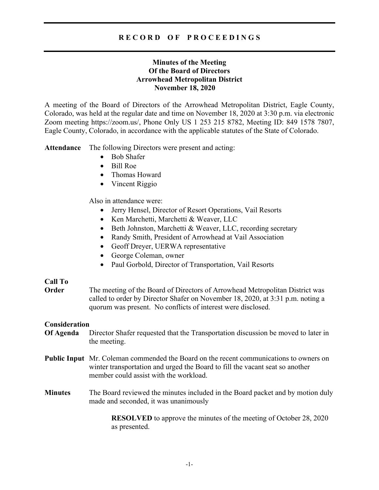## **Minutes of the Meeting Of the Board of Directors Arrowhead Metropolitan District November 18, 2020**

A meeting of the Board of Directors of the Arrowhead Metropolitan District, Eagle County, Colorado, was held at the regular date and time on November 18, 2020 at 3:30 p.m. via electronic Zoom meeting https://zoom.us/, Phone Only US 1 253 215 8782, Meeting ID: 849 1578 7807, Eagle County, Colorado, in accordance with the applicable statutes of the State of Colorado.

**Attendance** The following Directors were present and acting:

- Bob Shafer
- Bill Roe
- Thomas Howard
- Vincent Riggio

Also in attendance were:

- Jerry Hensel, Director of Resort Operations, Vail Resorts
- Ken Marchetti, Marchetti & Weaver, LLC
- Beth Johnston, Marchetti & Weaver, LLC, recording secretary
- Randy Smith, President of Arrowhead at Vail Association
- Geoff Dreyer, UERWA representative
- George Coleman, owner
- Paul Gorbold, Director of Transportation, Vail Resorts

## **Call To**

**Order** The meeting of the Board of Directors of Arrowhead Metropolitan District was called to order by Director Shafer on November 18, 2020, at 3:31 p.m. noting a quorum was present. No conflicts of interest were disclosed.

## **Consideration**

- **Of Agenda** Director Shafer requested that the Transportation discussion be moved to later in the meeting.
- **Public Input** Mr. Coleman commended the Board on the recent communications to owners on winter transportation and urged the Board to fill the vacant seat so another member could assist with the workload.
- **Minutes** The Board reviewed the minutes included in the Board packet and by motion duly made and seconded, it was unanimously

**RESOLVED** to approve the minutes of the meeting of October 28, 2020 as presented.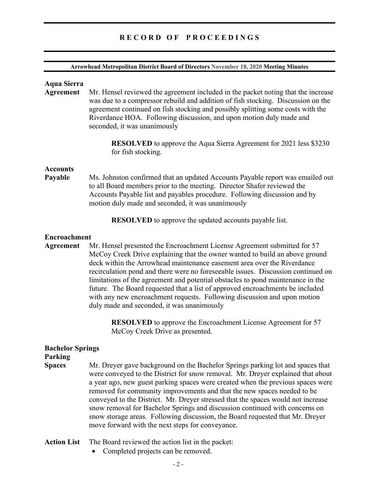#### **Arrowhead Metropolitan District Board of Directors November 18, 2020 Meeting Minutes**

#### **Aqua Sierra**

**Agreement** Mr. Hensel reviewed the agreement included in the packet noting that the increase was due to a compressor rebuild and addition of fish stocking. Discussion on the agreement continued on fish stocking and possibly splitting some costs with the Riverdance HOA. Following discussion, and upon motion duly made and seconded, it was unanimously

> **RESOLVED** to approve the Aqua Sierra Agreement for 2021 less \$3230 for fish stocking.

#### **Accounts**

**Payable** Ms. Johnston confirmed that an updated Accounts Payable report was emailed out to all Board members prior to the meeting.Director Shafer reviewed the Accounts Payable list and payables procedure. Following discussion and by motion duly made and seconded, it was unanimously

**RESOLVED** to approve the updated accounts payable list.

#### **Encroachment**

**Agreement** Mr. Hensel presented the Encroachment License Agreement submitted for 57 McCoy Creek Drive explaining that the owner wanted to build an above ground deck within the Arrowhead maintenance easement area over the Riverdance recirculation pond and there were no foreseeable issues. Discussion continued on limitations of the agreement and potential obstacles to pond maintenance in the future. The Board requested that a list of approved encroachments be included with any new encroachment requests. Following discussion and upon motion duly made and seconded, it was unanimously

> **RESOLVED** to approve the Encroachment License Agreement for 57 McCoy Creek Drive as presented.

# **Bachelor Springs**

## **Parking**

- **Spaces** Mr. Dreyer gave background on the Bachelor Springs parking lot and spaces that were conveyed to the District for snow removal. Mr. Dreyer explained that about a year ago, new guest parking spaces were created when the previous spaces were removed for community improvements and that the new spaces needed to be conveyed to the District. Mr. Dreyer stressed that the spaces would not increase snow removal for Bachelor Springs and discussion continued with concerns on snow storage areas. Following discussion, the Board requested that Mr. Dreyer move forward with the next steps for conveyance.
- **Action List** The Board reviewed the action list in the packet:
	- Completed projects can be removed.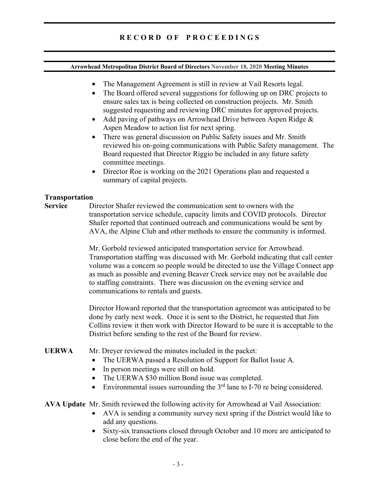#### **Arrowhead Metropolitan District Board of Directors November 18, 2020 Meeting Minutes**

- The Management Agreement is still in review at Vail Resorts legal.
- The Board offered several suggestions for following up on DRC projects to ensure sales tax is being collected on construction projects. Mr. Smith suggested requesting and reviewing DRC minutes for approved projects.
- Add paving of pathways on Arrowhead Drive between Aspen Ridge & Aspen Meadow to action list for next spring.
- There was general discussion on Public Safety issues and Mr. Smith reviewed his on-going communications with Public Safety management. The Board requested that Director Riggio be included in any future safety committee meetings.
- Director Roe is working on the 2021 Operations plan and requested a summary of capital projects.

### **Transportation**

**Service** Director Shafer reviewed the communication sent to owners with the transportation service schedule, capacity limits and COVID protocols. Director Shafer reported that continued outreach and communications would be sent by AVA, the Alpine Club and other methods to ensure the community is informed.

> Mr. Gorbold reviewed anticipated transportation service for Arrowhead. Transportation staffing was discussed with Mr. Gorbold indicating that call center volume was a concern so people would be directed to use the Village Connect app as much as possible and evening Beaver Creek service may not be available due to staffing constraints. There was discussion on the evening service and communications to rentals and guests.

> Director Howard reported that the transportation agreement was anticipated to be done by early next week. Once it is sent to the District, he requested that Jim Collins review it then work with Director Howard to be sure it is acceptable to the District before sending to the rest of the Board for review.

**UERWA** Mr. Dreyer reviewed the minutes included in the packet:

- The UERWA passed a Resolution of Support for Ballot Issue A.
- In person meetings were still on hold.
- The UERWA \$30 million Bond issue was completed.
- Environmental issues surrounding the  $3<sup>rd</sup>$  lane to I-70 re being considered.

**AVA Update** Mr. Smith reviewed the following activity for Arrowhead at Vail Association:

- AVA is sending a community survey next spring if the District would like to add any questions.
- Sixty-six transactions closed through October and 10 more are anticipated to close before the end of the year.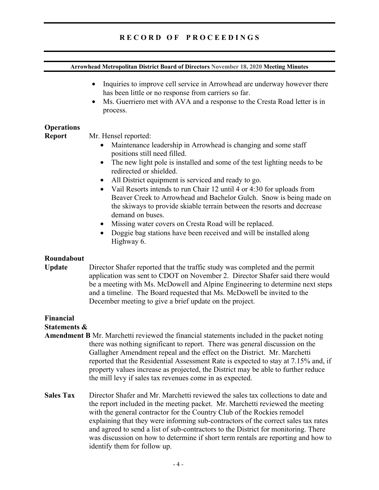# **Arrowhead Metropolitan District Board of Directors November 18, 2020 Meeting Minutes**  • Inquiries to improve cell service in Arrowhead are underway however there has been little or no response from carriers so far. • Ms. Guerriero met with AVA and a response to the Cresta Road letter is in process. **Operations Report** Mr. Hensel reported: Maintenance leadership in Arrowhead is changing and some staff positions still need filled. • The new light pole is installed and some of the test lighting needs to be redirected or shielded. • All District equipment is serviced and ready to go. • Vail Resorts intends to run Chair 12 until 4 or 4:30 for uploads from Beaver Creek to Arrowhead and Bachelor Gulch. Snow is being made on the skiways to provide skiable terrain between the resorts and decrease demand on buses. • Missing water covers on Cresta Road will be replaced. • Doggie bag stations have been received and will be installed along Highway 6. **Roundabout Update** Director Shafer reported that the traffic study was completed and the permit application was sent to CDOT on November 2. Director Shafer said there would be a meeting with Ms. McDowell and Alpine Engineering to determine next steps and a timeline. The Board requested that Ms. McDowell be invited to the December meeting to give a brief update on the project. **Financial Statements & Amendment B** Mr. Marchetti reviewed the financial statements included in the packet noting

- there was nothing significant to report. There was general discussion on the Gallagher Amendment repeal and the effect on the District. Mr. Marchetti reported that the Residential Assessment Rate is expected to stay at 7.15% and, if property values increase as projected, the District may be able to further reduce the mill levy if sales tax revenues come in as expected.
- **Sales Tax** Director Shafer and Mr. Marchetti reviewed the sales tax collections to date and the report included in the meeting packet. Mr. Marchetti reviewed the meeting with the general contractor for the Country Club of the Rockies remodel explaining that they were informing sub-contractors of the correct sales tax rates and agreed to send a list of sub-contractors to the District for monitoring. There was discussion on how to determine if short term rentals are reporting and how to identify them for follow up.